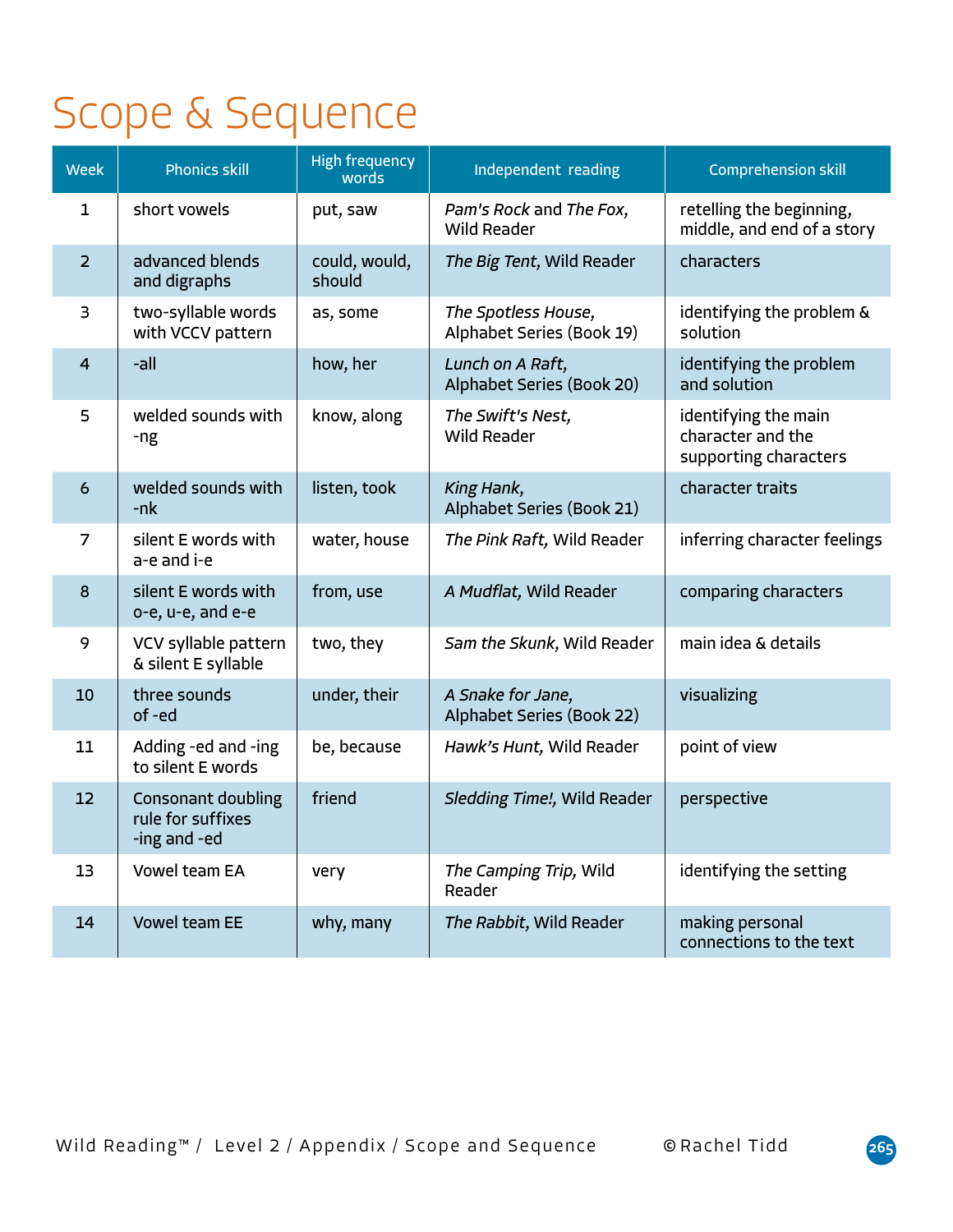## Scope & Sequence

| <b>Week</b>    | <b>Phonics skill</b>                                           | <b>High frequency</b><br>words | Independent reading                              | <b>Comprehension skill</b>                                         |
|----------------|----------------------------------------------------------------|--------------------------------|--------------------------------------------------|--------------------------------------------------------------------|
| 1              | short vowels                                                   | put, saw                       | Pam's Rock and The Fox,<br><b>Wild Reader</b>    | retelling the beginning,<br>middle, and end of a story             |
| $\overline{2}$ | advanced blends<br>and digraphs                                | could, would,<br>should        | The Big Tent, Wild Reader                        | characters                                                         |
| 3              | two-syllable words<br>with VCCV pattern                        | as, some                       | The Spotless House,<br>Alphabet Series (Book 19) | identifying the problem &<br>solution                              |
| $\overline{4}$ | -all                                                           | how, her                       | Lunch on A Raft,<br>Alphabet Series (Book 20)    | identifying the problem<br>and solution                            |
| 5              | welded sounds with<br>-ng                                      | know, along                    | The Swift's Nest,<br><b>Wild Reader</b>          | identifying the main<br>character and the<br>supporting characters |
| 6              | welded sounds with<br>$-nk$                                    | listen, took                   | King Hank,<br>Alphabet Series (Book 21)          | character traits                                                   |
| 7              | silent E words with<br>a-e and i-e                             | water, house                   | The Pink Raft, Wild Reader                       | inferring character feelings                                       |
| 8              | silent E words with<br>o-e, u-e, and e-e                       | from, use                      | A Mudflat, Wild Reader                           | comparing characters                                               |
| 9              | VCV syllable pattern<br>& silent E syllable                    | two, they                      | Sam the Skunk, Wild Reader                       | main idea & details                                                |
| 10             | three sounds<br>of -ed                                         | under, their                   | A Snake for Jane,<br>Alphabet Series (Book 22)   | visualizing                                                        |
| 11             | Adding -ed and -ing<br>to silent E words                       | be, because                    | Hawk's Hunt, Wild Reader                         | point of view                                                      |
| 12             | <b>Consonant doubling</b><br>rule for suffixes<br>-ing and -ed | friend                         | Sledding Time!, Wild Reader                      | perspective                                                        |
| 13             | Vowel team EA                                                  | very                           | The Camping Trip, Wild<br>Reader                 | identifying the setting                                            |
| 14             | <b>Vowel team EE</b>                                           | why, many                      | The Rabbit, Wild Reader                          | making personal<br>connections to the text                         |

Wild Reading™ / Level 2 / Appendix / Scope and Sequence © Rachel Tidd **265**

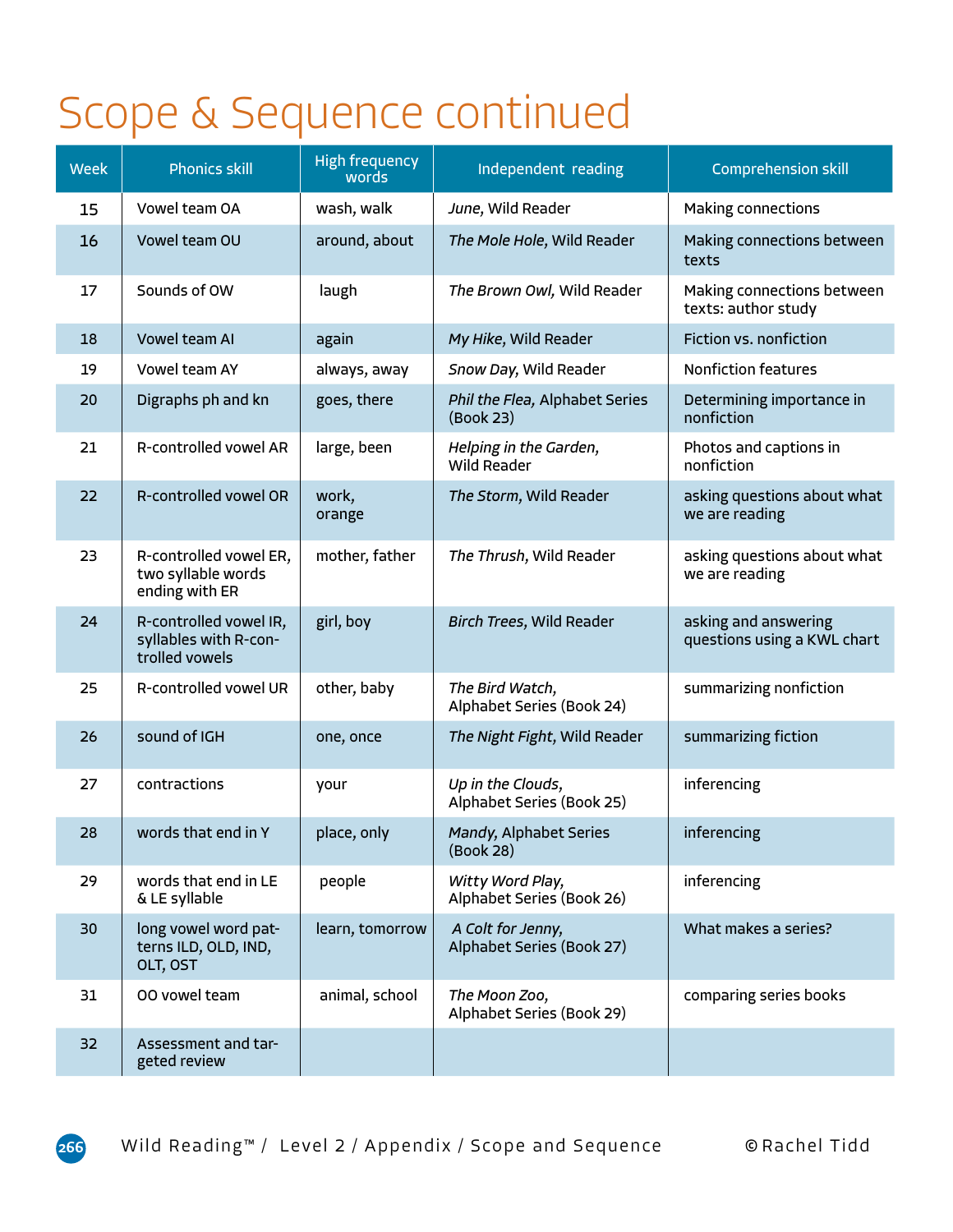## Scope & Sequence continued

| <b>Week</b> | <b>Phonics skill</b>                                              | <b>High frequency</b><br>words | Independent reading                            | <b>Comprehension skill</b>                          |
|-------------|-------------------------------------------------------------------|--------------------------------|------------------------------------------------|-----------------------------------------------------|
| 15          | Vowel team OA                                                     | wash, walk                     | June, Wild Reader                              | Making connections                                  |
| 16          | Vowel team OU                                                     | around, about                  | The Mole Hole, Wild Reader                     | Making connections between<br>texts                 |
| 17          | Sounds of OW                                                      | laugh                          | The Brown Owl, Wild Reader                     | Making connections between<br>texts: author study   |
| 18          | Vowel team AI                                                     | again                          | My Hike, Wild Reader                           | Fiction vs. nonfiction                              |
| 19          | Vowel team AY                                                     | always, away                   | Snow Day, Wild Reader                          | <b>Nonfiction features</b>                          |
| 20          | Digraphs ph and kn                                                | goes, there                    | Phil the Flea, Alphabet Series<br>(Book 23)    | Determining importance in<br>nonfiction             |
| 21          | R-controlled vowel AR                                             | large, been                    | Helping in the Garden,<br>Wild Reader          | Photos and captions in<br>nonfiction                |
| 22          | R-controlled vowel OR                                             | work,<br>orange                | The Storm, Wild Reader                         | asking questions about what<br>we are reading       |
| 23          | R-controlled vowel ER,<br>two syllable words<br>ending with ER    | mother, father                 | The Thrush, Wild Reader                        | asking questions about what<br>we are reading       |
| 24          | R-controlled vowel IR,<br>syllables with R-con-<br>trolled vowels | girl, boy                      | Birch Trees, Wild Reader                       | asking and answering<br>questions using a KWL chart |
| 25          | R-controlled vowel UR                                             | other, baby                    | The Bird Watch,<br>Alphabet Series (Book 24)   | summarizing nonfiction                              |
| 26          | sound of IGH                                                      | one, once                      | The Night Fight, Wild Reader                   | summarizing fiction                                 |
| 27          | contractions                                                      | your                           | Up in the Clouds,<br>Alphabet Series (Book 25) | inferencing                                         |
| 28          | words that end in Y                                               | place, only                    | Mandy, Alphabet Series<br>(BOOK 28)            | inferencing                                         |
| 29          | words that end in LE<br>& LE syllable                             | people                         | Witty Word Play,<br>Alphabet Series (Book 26)  | inferencing                                         |
| 30          | long vowel word pat-<br>terns ILD, OLD, IND,<br>OLT, OST          | learn, tomorrow                | A Colt for Jenny,<br>Alphabet Series (Book 27) | What makes a series?                                |
| 31          | 00 vowel team                                                     | animal, school                 | The Moon Zoo,<br>Alphabet Series (Book 29)     | comparing series books                              |
| 32          | Assessment and tar-<br>geted review                               |                                |                                                |                                                     |

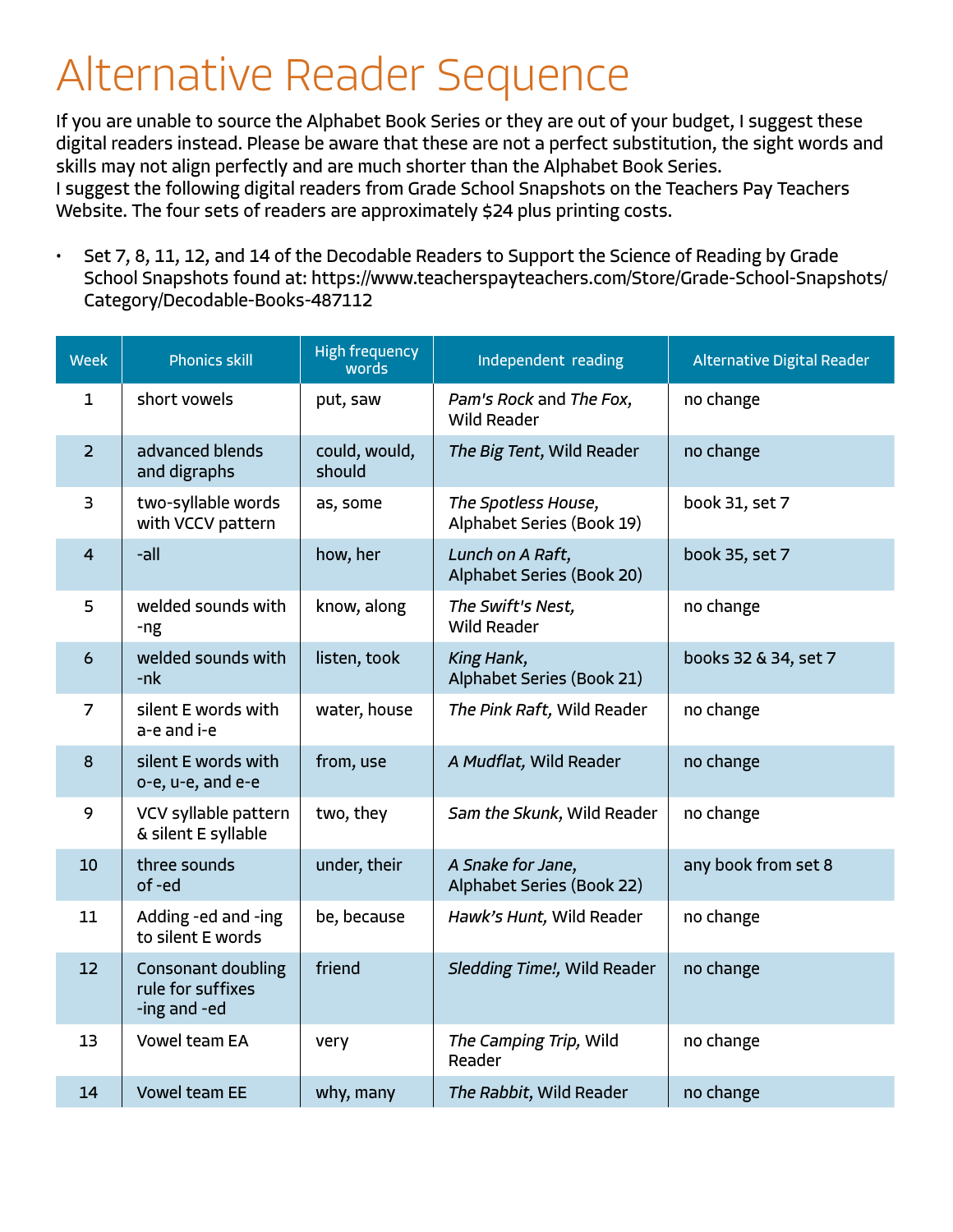## Alternative Reader Sequence

If you are unable to source the Alphabet Book Series or they are out of your budget, I suggest these digital readers instead. Please be aware that these are not a perfect substitution, the sight words and skills may not align perfectly and are much shorter than the Alphabet Book Series. I suggest the following digital readers from Grade School Snapshots on the Teachers Pay Teachers Website. The four sets of readers are approximately \$24 plus printing costs.

• Set 7, 8, 11, 12, and 14 of the Decodable Readers to Support the Science of Reading by Grade School Snapshots found at: https://www.teacherspayteachers.com/Store/Grade-School-Snapshots/ Category/Decodable-Books-487112

| <b>Week</b>     | <b>Phonics skill</b>                                           | <b>High frequency</b><br>words | Independent reading                              | Alternative Digital Reader |
|-----------------|----------------------------------------------------------------|--------------------------------|--------------------------------------------------|----------------------------|
| $\mathbf{1}$    | short vowels                                                   | put, saw                       | Pam's Rock and The Fox,<br><b>Wild Reader</b>    | no change                  |
| $\overline{2}$  | advanced blends<br>and digraphs                                | could, would,<br>should        | The Big Tent, Wild Reader                        | no change                  |
| 3               | two-syllable words<br>with VCCV pattern                        | as, some                       | The Spotless House,<br>Alphabet Series (Book 19) | book 31, set 7             |
| 4               | -all                                                           | how, her                       | Lunch on A Raft,<br>Alphabet Series (Book 20)    | book 35, set 7             |
| 5               | welded sounds with<br>-ng                                      | know, along                    | The Swift's Nest,<br><b>Wild Reader</b>          | no change                  |
| $6\phantom{1}6$ | welded sounds with<br>$-nk$                                    | listen, took                   | King Hank,<br>Alphabet Series (Book 21)          | books 32 & 34, set 7       |
| 7               | silent E words with<br>a-e and i-e                             | water, house                   | The Pink Raft, Wild Reader                       | no change                  |
| 8               | silent E words with<br>o-e, u-e, and e-e                       | from, use                      | A Mudflat, Wild Reader                           | no change                  |
| 9               | VCV syllable pattern<br>& silent E syllable                    | two, they                      | Sam the Skunk, Wild Reader                       | no change                  |
| 10              | three sounds<br>of -ed                                         | under, their                   | A Snake for Jane,<br>Alphabet Series (Book 22)   | any book from set 8        |
| 11              | Adding -ed and -ing<br>to silent E words                       | be, because                    | Hawk's Hunt, Wild Reader                         | no change                  |
| 12 <sup>2</sup> | <b>Consonant doubling</b><br>rule for suffixes<br>-ing and -ed | friend                         | Sledding Time!, Wild Reader                      | no change                  |
| 13              | <b>Vowel team EA</b>                                           | very                           | The Camping Trip, Wild<br>Reader                 | no change                  |
| 14              | <b>Vowel team EE</b>                                           | why, many                      | The Rabbit, Wild Reader                          | no change                  |